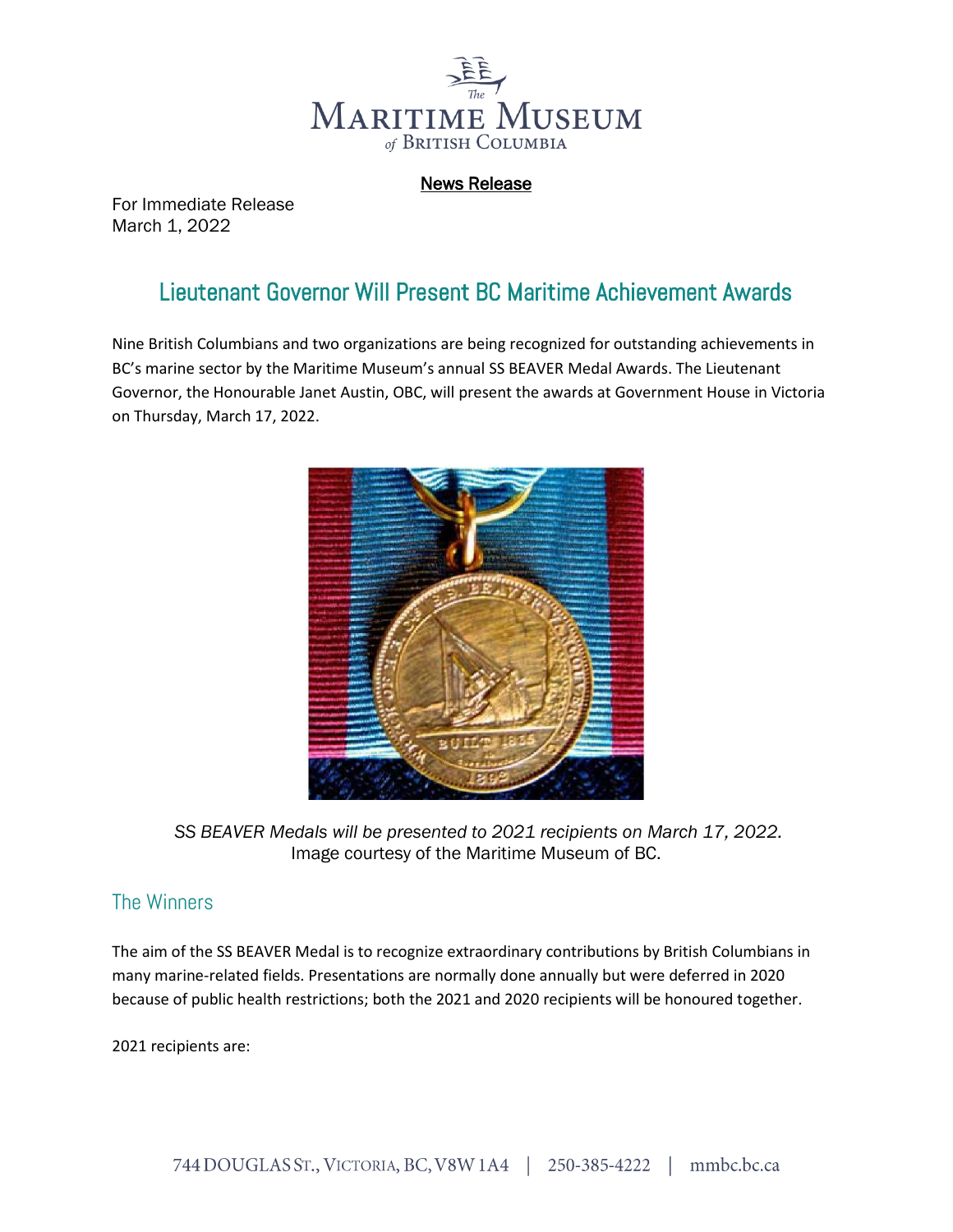

News Release

For Immediate Release March 1, 2022

## Lieutenant Governor Will Present BC Maritime Achievement Awards

Nine British Columbians and two organizations are being recognized for outstanding achievements in BC's marine sector by the Maritime Museum's annual SS BEAVER Medal Awards. The Lieutenant Governor, the Honourable Janet Austin, OBC, will present the awards at Government House in Victoria on Thursday, March 17, 2022.



*SS BEAVER Medals will be presented to 2021 recipients on March 17, 2022.* Image courtesy of the Maritime Museum of BC.

## The Winners

The aim of the SS BEAVER Medal is to recognize extraordinary contributions by British Columbians in many marine-related fields. Presentations are normally done annually but were deferred in 2020 because of public health restrictions; both the 2021 and 2020 recipients will be honoured together.

2021 recipients are: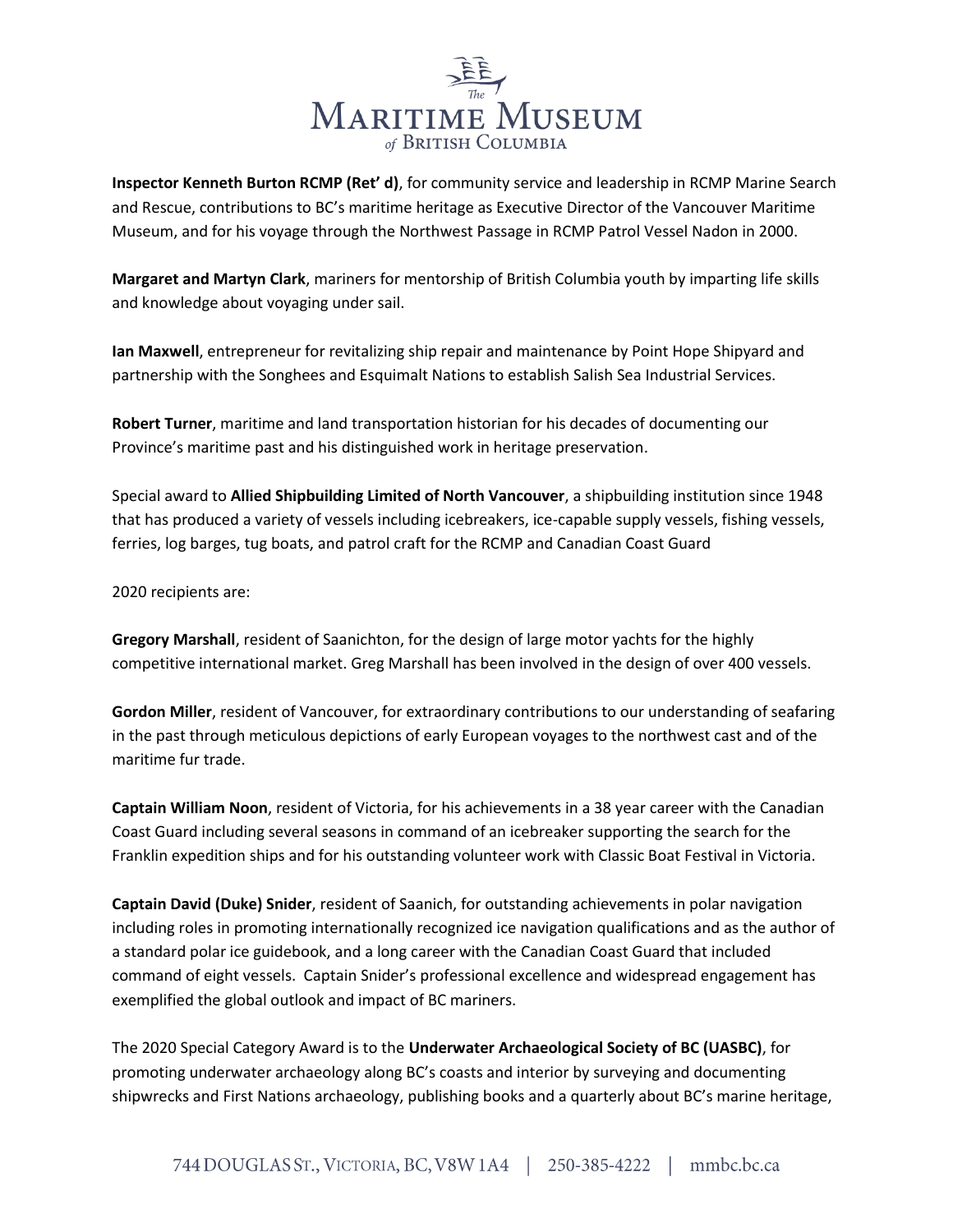

**Inspector Kenneth Burton RCMP (Ret' d)**, for community service and leadership in RCMP Marine Search and Rescue, contributions to BC's maritime heritage as Executive Director of the Vancouver Maritime Museum, and for his voyage through the Northwest Passage in RCMP Patrol Vessel Nadon in 2000.

**Margaret and Martyn Clark**, mariners for mentorship of British Columbia youth by imparting life skills and knowledge about voyaging under sail.

**Ian Maxwell**, entrepreneur for revitalizing ship repair and maintenance by Point Hope Shipyard and partnership with the Songhees and Esquimalt Nations to establish Salish Sea Industrial Services.

**Robert Turner**, maritime and land transportation historian for his decades of documenting our Province's maritime past and his distinguished work in heritage preservation.

Special award to **Allied Shipbuilding Limited of North Vancouver**, a shipbuilding institution since 1948 that has produced a variety of vessels including icebreakers, ice-capable supply vessels, fishing vessels, ferries, log barges, tug boats, and patrol craft for the RCMP and Canadian Coast Guard

2020 recipients are:

**Gregory Marshall**, resident of Saanichton, for the design of large motor yachts for the highly competitive international market. Greg Marshall has been involved in the design of over 400 vessels.

**Gordon Miller**, resident of Vancouver, for extraordinary contributions to our understanding of seafaring in the past through meticulous depictions of early European voyages to the northwest cast and of the maritime fur trade.

**Captain William Noon**, resident of Victoria, for his achievements in a 38 year career with the Canadian Coast Guard including several seasons in command of an icebreaker supporting the search for the Franklin expedition ships and for his outstanding volunteer work with Classic Boat Festival in Victoria.

**Captain David (Duke) Snider**, resident of Saanich, for outstanding achievements in polar navigation including roles in promoting internationally recognized ice navigation qualifications and as the author of a standard polar ice guidebook, and a long career with the Canadian Coast Guard that included command of eight vessels. Captain Snider's professional excellence and widespread engagement has exemplified the global outlook and impact of BC mariners.

The 2020 Special Category Award is to the **Underwater Archaeological Society of BC (UASBC)**, for promoting underwater archaeology along BC's coasts and interior by surveying and documenting shipwrecks and First Nations archaeology, publishing books and a quarterly about BC's marine heritage,